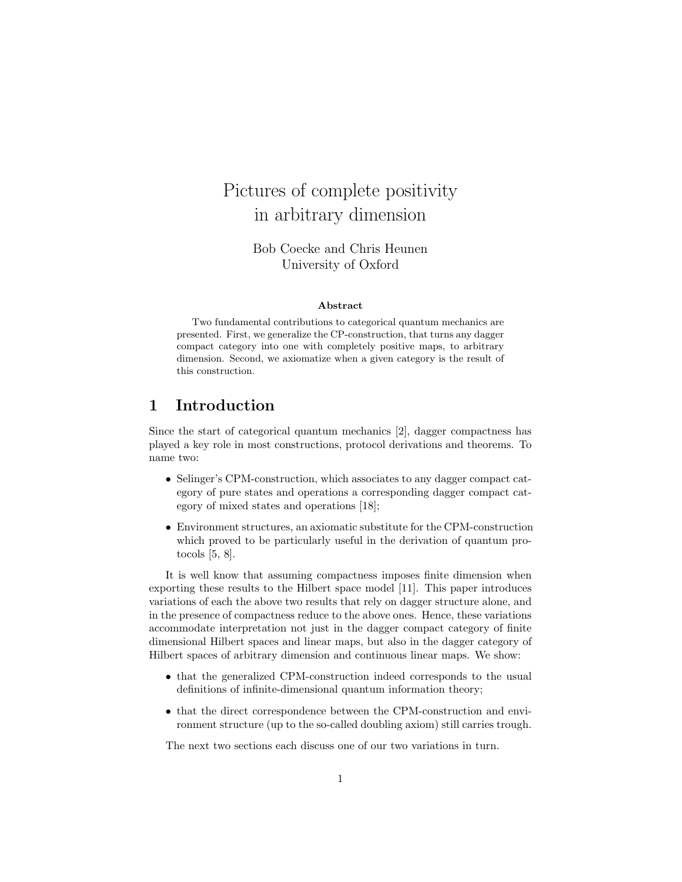# Pictures of complete positivity in arbitrary dimension

Bob Coecke and Chris Heunen University of Oxford

#### Abstract

Two fundamental contributions to categorical quantum mechanics are presented. First, we generalize the CP-construction, that turns any dagger compact category into one with completely positive maps, to arbitrary dimension. Second, we axiomatize when a given category is the result of this construction.

#### 1 Introduction

Since the start of categorical quantum mechanics [2], dagger compactness has played a key role in most constructions, protocol derivations and theorems. To name two:

- Selinger's CPM-construction, which associates to any dagger compact category of pure states and operations a corresponding dagger compact category of mixed states and operations [18];
- Environment structures, an axiomatic substitute for the CPM-construction which proved to be particularly useful in the derivation of quantum protocols [5, 8].

It is well know that assuming compactness imposes finite dimension when exporting these results to the Hilbert space model [11]. This paper introduces variations of each the above two results that rely on dagger structure alone, and in the presence of compactness reduce to the above ones. Hence, these variations accommodate interpretation not just in the dagger compact category of finite dimensional Hilbert spaces and linear maps, but also in the dagger category of Hilbert spaces of arbitrary dimension and continuous linear maps. We show:

- that the generalized CPM-construction indeed corresponds to the usual definitions of infinite-dimensional quantum information theory;
- that the direct correspondence between the CPM-construction and environment structure (up to the so-called doubling axiom) still carries trough.

The next two sections each discuss one of our two variations in turn.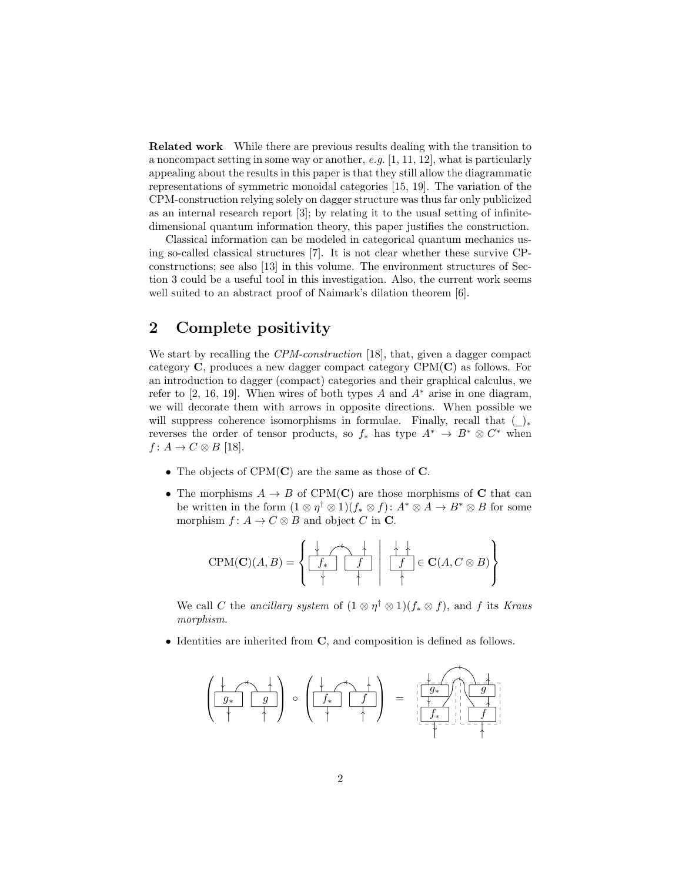Related work While there are previous results dealing with the transition to a noncompact setting in some way or another, e.g. [1, 11, 12], what is particularly appealing about the results in this paper is that they still allow the diagrammatic representations of symmetric monoidal categories [15, 19]. The variation of the CPM-construction relying solely on dagger structure was thus far only publicized as an internal research report [3]; by relating it to the usual setting of infinitedimensional quantum information theory, this paper justifies the construction.

Classical information can be modeled in categorical quantum mechanics using so-called classical structures [7]. It is not clear whether these survive CPconstructions; see also [13] in this volume. The environment structures of Section 3 could be a useful tool in this investigation. Also, the current work seems well suited to an abstract proof of Naimark's dilation theorem [6].

### 2 Complete positivity

We start by recalling the CPM-construction [18], that, given a dagger compact category  $C$ , produces a new dagger compact category  $CPM(C)$  as follows. For an introduction to dagger (compact) categories and their graphical calculus, we refer to [2, 16, 19]. When wires of both types A and  $A^*$  arise in one diagram, we will decorate them with arrows in opposite directions. When possible we will suppress coherence isomorphisms in formulae. Finally, recall that  $(\_)_*$ reverses the order of tensor products, so  $f_*$  has type  $A^* \to B^* \otimes C^*$  when  $f: A \rightarrow C \otimes B$  [18].

- The objects of  $CPM(C)$  are the same as those of C.
- The morphisms  $A \to B$  of CPM(C) are those morphisms of C that can be written in the form  $(1 \otimes \eta^{\dagger} \otimes 1)(f_* \otimes f): A^* \otimes A \to B^* \otimes B$  for some morphism  $f: A \to C \otimes B$  and object C in C.

$$
CPM(\mathbf{C})(A, B) = \left\{ \begin{array}{c|c|c} \downarrow & \downarrow & \downarrow \\ \hline f_{*} & f_{*} & f_{*} \\ \hline \downarrow & \downarrow & \downarrow \end{array} \middle| \begin{array}{c} \downarrow & \downarrow & \downarrow \\ \hline f_{*} & \downarrow & \downarrow \\ \hline \downarrow & \downarrow & \end{array} \right\}.
$$

We call C the ancillary system of  $(1 \otimes \eta^{\dagger} \otimes 1)(f_* \otimes f)$ , and f its Kraus morphism.

• Identities are inherited from C, and composition is defined as follows.

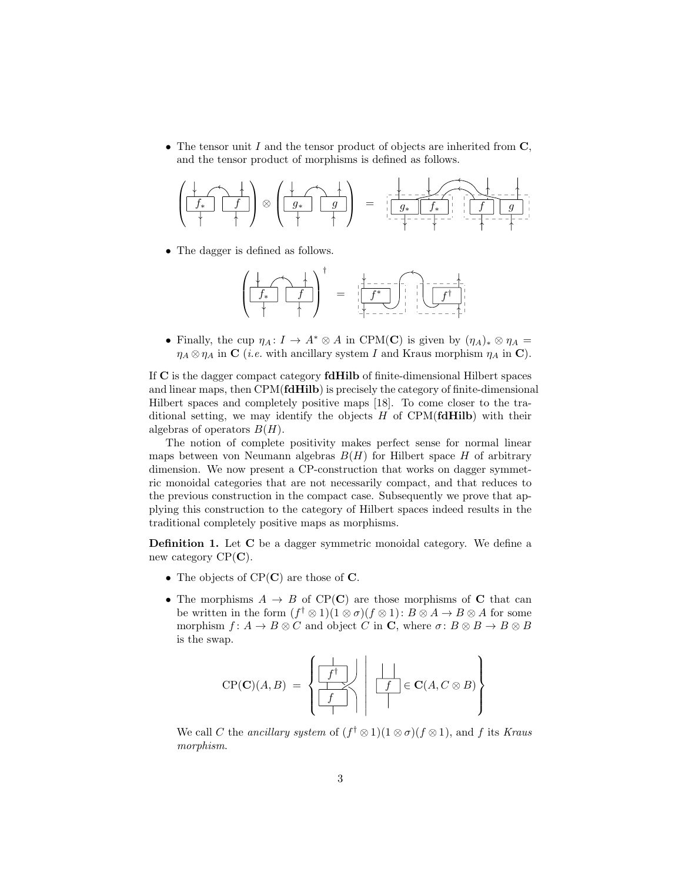• The tensor unit I and the tensor product of objects are inherited from  $\mathbf C$ , and the tensor product of morphisms is defined as follows.



• The dagger is defined as follows.

$$
\left(\begin{array}{c|c} \downarrow & \uparrow \\ \hline f_{*} & f \end{array}\right)^{\dagger} \hspace{.7cm} = \hspace{.7cm} \left(\begin{array}{c|c} \downarrow & \downarrow \\ \hline f^{*} & f \end{array}\right)^{\dagger} = \left(\begin{array}{c|c} \downarrow & \downarrow \\ \hline f^{*} & f \end{array}\right)^{\dagger} \hspace{.7cm} \left(\begin{array}{c|c} \uparrow & \downarrow \\ \hline f^{*} & f \end{array}\right)^{\dagger}
$$

• Finally, the cup  $\eta_A \colon I \to A^* \otimes A$  in CPM(C) is given by  $(\eta_A)_* \otimes \eta_A =$  $\eta_A \otimes \eta_A$  in C (*i.e.* with ancillary system I and Kraus morphism  $\eta_A$  in C).

If C is the dagger compact category fdHilb of finite-dimensional Hilbert spaces and linear maps, then CPM(fdHilb) is precisely the category of finite-dimensional Hilbert spaces and completely positive maps [18]. To come closer to the traditional setting, we may identify the objects  $H$  of CPM(**fdHilb**) with their algebras of operators  $B(H)$ .

The notion of complete positivity makes perfect sense for normal linear maps between von Neumann algebras  $B(H)$  for Hilbert space H of arbitrary dimension. We now present a CP-construction that works on dagger symmetric monoidal categories that are not necessarily compact, and that reduces to the previous construction in the compact case. Subsequently we prove that applying this construction to the category of Hilbert spaces indeed results in the traditional completely positive maps as morphisms.

Definition 1. Let C be a dagger symmetric monoidal category. We define a new category  $CP(C)$ .

- The objects of  $CP(C)$  are those of  $C$ .
- The morphisms  $A \rightarrow B$  of CP(C) are those morphisms of C that can be written in the form  $(f^{\dagger} \otimes 1)(1 \otimes \sigma)(f \otimes 1)$ :  $B \otimes A \rightarrow B \otimes A$  for some morphism  $f: A \to B \otimes C$  and object C in C, where  $\sigma: B \otimes B \to B \otimes B$ is the swap.

$$
CP(C)(A, B) = \left\{ \begin{array}{c|c} \begin{array}{|c|c|c|} \hline \begin{array}{|c|c|} \hline \begin{array}{|c|c|} \hline \begin{array}{|c|c|} \hline \begin{array}{|c|c|} \hline \begin{array}{|c|c|} \hline \begin{array}{|c|c|} \hline \begin{array}{|c|c|} \hline \begin{array}{|c|c|} \hline \begin{array}{|c|c|} \hline \begin{array}{|c|c|} \hline \begin{array}{|c|c|} \hline \begin{array}{|c|c|} \hline \begin{array}{|c|c|} \hline \begin{array}{|c|c|} \hline \begin{array}{|c|c|} \hline \begin{array}{|c|c|} \hline \begin{array}{|c|c|} \hline \begin{array}{|c|c|} \hline \begin{array}{|c|c|} \hline \begin{array}{|c|c|} \hline \begin{array}{|c|c|} \hline \begin{array}{|c|c|} \hline \begin{array}{|c|c|} \hline \begin{array}{|c|c|} \hline \begin{array}{|c|c|} \hline \begin{array}{|c|c|} \hline \begin{array}{|c|c|} \hline \begin{array}{|c|c|} \hline \begin{array}{|c|c|} \hline \begin{array}{|c|c|} \hline \begin{array}{|c|c|} \hline \begin{array}{|c|c|} \hline \begin{array}{|c|c|} \hline \begin{array}{|c|c|} \hline \begin{array}{|c|c|} \hline \begin{array}{|c|c|} \hline \begin{array}{|c|c|} \hline \begin{array}{|c|c|} \hline \begin{array}{|c|c|} \hline \begin{array}{|c|c|} \hline \begin{array}{|c|c|} \hline \begin{array}{|c|c|} \hline \begin{array}{|c|c|} \hline \begin{array}{|c|c|} \hline \begin{array}{|c|c|} \hline \begin{array}{|c|c|} \hline \begin{array}{|c|c|} \hline \begin{array}{|c|c|} \hline \begin{array}{|c|c|c|} \hline \begin{array}{|c|c|} \hline \begin{array}{|c|c|} \hline \begin{array}{|
$$

We call C the ancillary system of  $(f^{\dagger} \otimes 1)(1 \otimes \sigma)(f \otimes 1)$ , and f its Kraus morphism.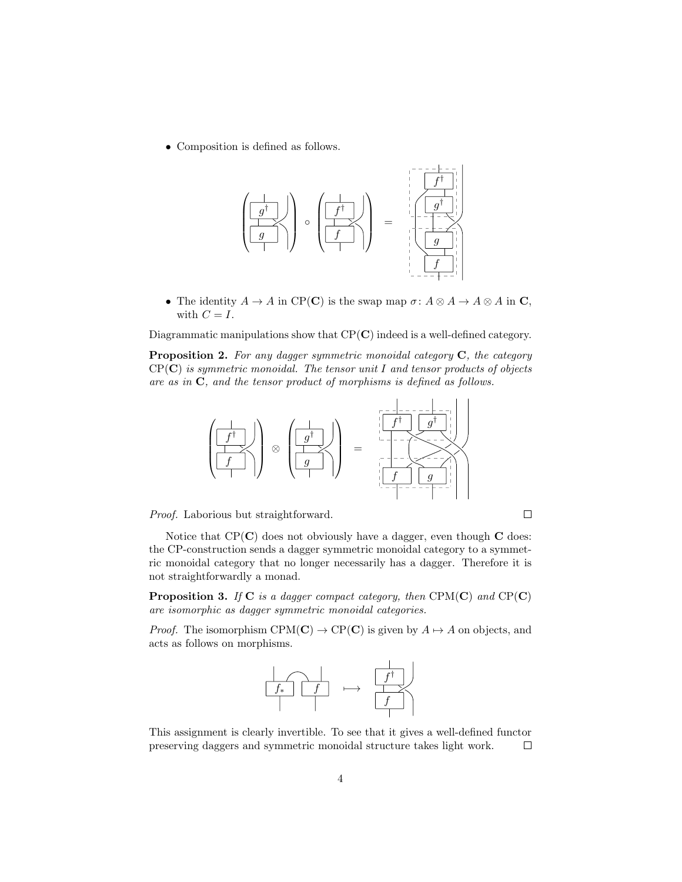• Composition is defined as follows.



• The identity  $A \to A$  in CP(C) is the swap map  $\sigma: A \otimes A \to A \otimes A$  in C, with  $C = I$ .

Diagrammatic manipulations show that  $CP(C)$  indeed is a well-defined category.

Proposition 2. For any dagger symmetric monoidal category C, the category  $CP(C)$  is symmetric monoidal. The tensor unit I and tensor products of objects are as in  $C$ , and the tensor product of morphisms is defined as follows.



Proof. Laborious but straightforward.

Notice that  $CP(C)$  does not obviously have a dagger, even though  $C$  does: the CP-construction sends a dagger symmetric monoidal category to a symmetric monoidal category that no longer necessarily has a dagger. Therefore it is not straightforwardly a monad.

 $\Box$ 

**Proposition 3.** If  $C$  is a dagger compact category, then  $CPM(C)$  and  $CP(C)$ are isomorphic as dagger symmetric monoidal categories.

*Proof.* The isomorphism CPM(C)  $\rightarrow$  CP(C) is given by  $A \mapsto A$  on objects, and acts as follows on morphisms.



This assignment is clearly invertible. To see that it gives a well-defined functor preserving daggers and symmetric monoidal structure takes light work.  $\Box$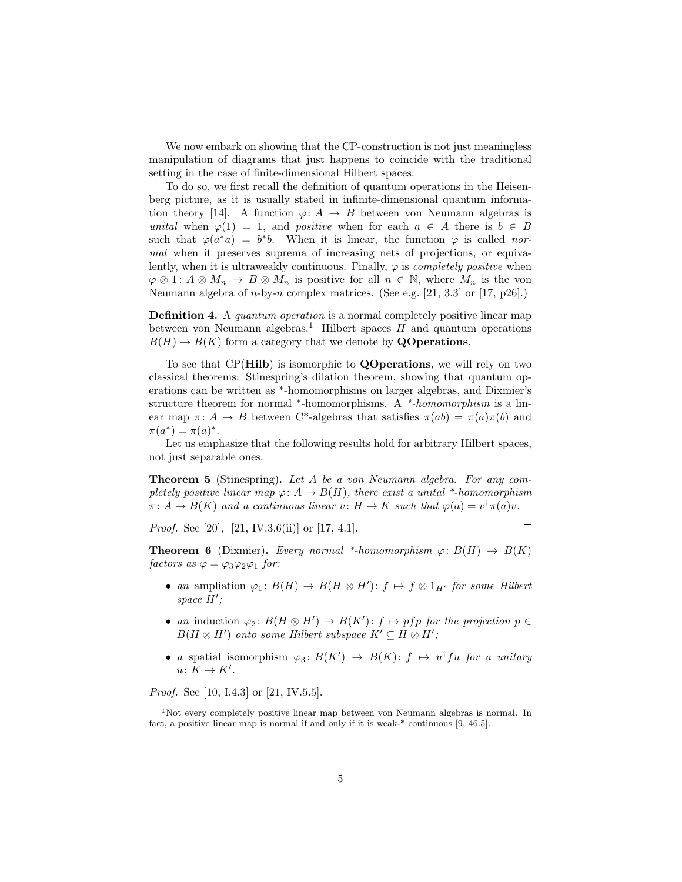We now embark on showing that the CP-construction is not just meaningless manipulation of diagrams that just happens to coincide with the traditional setting in the case of finite-dimensional Hilbert spaces.

To do so, we first recall the definition of quantum operations in the Heisenberg picture, as it is usually stated in infinite-dimensional quantum information theory [14]. A function  $\varphi: A \to B$  between von Neumann algebras is unital when  $\varphi(1) = 1$ , and positive when for each  $a \in A$  there is  $b \in B$ such that  $\varphi(a^*a) = b^*b$ . When it is linear, the function  $\varphi$  is called normal when it preserves suprema of increasing nets of projections, or equivalently, when it is ultraweakly continuous. Finally,  $\varphi$  is *completely positive* when  $\varphi \otimes 1$ :  $A \otimes M_n \to B \otimes M_n$  is positive for all  $n \in \mathbb{N}$ , where  $M_n$  is the von Neumann algebra of  $n$ -by- $n$  complex matrices. (See e.g. [21, 3.3] or [17, p26].)

Definition 4. A quantum operation is a normal completely positive linear map between von Neumann algebras.<sup>1</sup> Hilbert spaces  $H$  and quantum operations  $B(H) \to B(K)$  form a category that we denote by **QO** perations.

To see that CP(Hilb) is isomorphic to QOperations, we will rely on two classical theorems: Stinespring's dilation theorem, showing that quantum operations can be written as \*-homomorphisms on larger algebras, and Dixmier's structure theorem for normal \*-homomorphisms. A \*-homomorphism is a linear map  $\pi: A \to B$  between C<sup>\*</sup>-algebras that satisfies  $\pi(ab) = \pi(a)\pi(b)$  and  $\pi(a^*) = \pi(a)^*.$ 

Let us emphasize that the following results hold for arbitrary Hilbert spaces, not just separable ones.

Theorem 5 (Stinespring). Let A be a von Neumann algebra. For any completely positive linear map  $\varphi: A \to B(H)$ , there exist a unital \*-homomorphism  $\pi: A \to B(K)$  and a continuous linear  $v: H \to K$  such that  $\varphi(a) = v^{\dagger} \pi(a) v$ .

*Proof.* See [20], [21, IV.3.6(ii)] or [17, 4.1].

 $\Box$ 

**Theorem 6** (Dixmier). Every normal \*-homomorphism  $\varphi: B(H) \to B(K)$ factors as  $\varphi = \varphi_3 \varphi_2 \varphi_1$  for:

- an ampliation  $\varphi_1: B(H) \to B(H \otimes H')$ :  $f \mapsto f \otimes 1_{H'}$  for some Hilbert space  $H'$ ;
- an induction  $\varphi_2: B(H \otimes H') \to B(K')$ :  $f \mapsto pfp$  for the projection  $p \in$  $B(H \otimes H')$  onto some Hilbert subspace  $K' \subseteq H \otimes H'$ ;
- a spatial isomorphism  $\varphi_3: B(K') \to B(K): f \mapsto u^{\dagger} f u$  for a unitary  $u\colon K\to K'.$

*Proof.* See [10, I.4.3] or [21, IV.5.5].

 $\Box$ 

<sup>1</sup>Not every completely positive linear map between von Neumann algebras is normal. In fact, a positive linear map is normal if and only if it is weak-\* continuous [9, 46.5].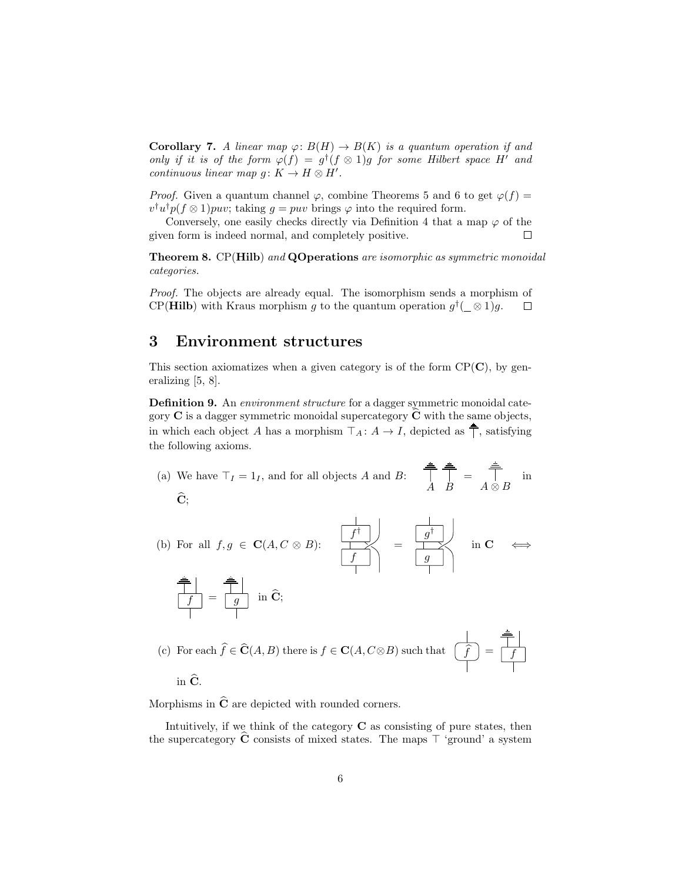**Corollary 7.** A linear map  $\varphi: B(H) \to B(K)$  is a quantum operation if and only if it is of the form  $\varphi(f) = g^{\dagger}(f \otimes 1)g$  for some Hilbert space H' and continuous linear map  $g: K \to H \otimes H'$ .

*Proof.* Given a quantum channel  $\varphi$ , combine Theorems 5 and 6 to get  $\varphi(f)$  =  $v^{\dagger}u^{\dagger}p(f\otimes 1)puv$ ; taking  $g = puv$  brings  $\varphi$  into the required form.

Conversely, one easily checks directly via Definition 4 that a map  $\varphi$  of the given form is indeed normal, and completely positive.  $\Box$ 

**Theorem 8.** CP(Hilb) and QOperations are isomorphic as symmetric monoidal categories.

Proof. The objects are already equal. The isomorphism sends a morphism of CP(**Hilb**) with Kraus morphism g to the quantum operation  $g^{\dagger}$  ( $\otimes$  1)g.  $\Box$ 

# 3 Environment structures

This section axiomatizes when a given category is of the form  $\text{CP}(\mathbf{C})$ , by generalizing [5, 8].

Definition 9. An environment structure for a dagger symmetric monoidal category  $C$  is a dagger symmetric monoidal supercategory  $\hat{C}$  with the same objects, in which each object A has a morphism  $\top_A : A \to I$ , depicted as  $\stackrel{\triangle}{\top}$ , satisfying the following axioms.

(a) We have 
$$
\top_I = 1_I
$$
, and for all objects *A* and *B*:  $\begin{array}{cc} \frac{a}{\top} & \frac{a}{\top} \\ A & B \end{array} = \begin{array}{cc} \frac{a}{\top} \\ A \otimes B \end{array}$  in  $\hat{C}$ ;

(b) For all f, g ∈ C(A, C ⊗ B): f † f = g † g in C ⇐⇒

$$
\frac{\begin{array}{c|c}\n\hline\n\end{array}}{\begin{array}{c|c}\n\hline\nf\n\end{array}} = \frac{\begin{array}{c|c}\n\hline\ng \\
\hline\n\end{array}}{\begin{array}{c|c}\n\hline\n\end{array}} \text{ in } \hat{C};
$$

(c) For each 
$$
\hat{f} \in \hat{\mathbf{C}}(A, B)
$$
 there is  $f \in \mathbf{C}(A, C \otimes B)$  such that  $\begin{array}{c} \begin{array}{|c} \hline \hat{f} \\ \hline \end{array} \end{array} = \begin{array}{|c|c|} \hline \begin{array}{|c} \hline \hat{f} \\ \hline \end{array} \end{array}$  in  $\hat{\mathbf{C}}$ .

Morphisms in  $\hat{C}$  are depicted with rounded corners.

Intuitively, if we think of the category  $C$  as consisting of pure states, then the supercategory C consists of mixed states. The maps  $\top$  'ground' a system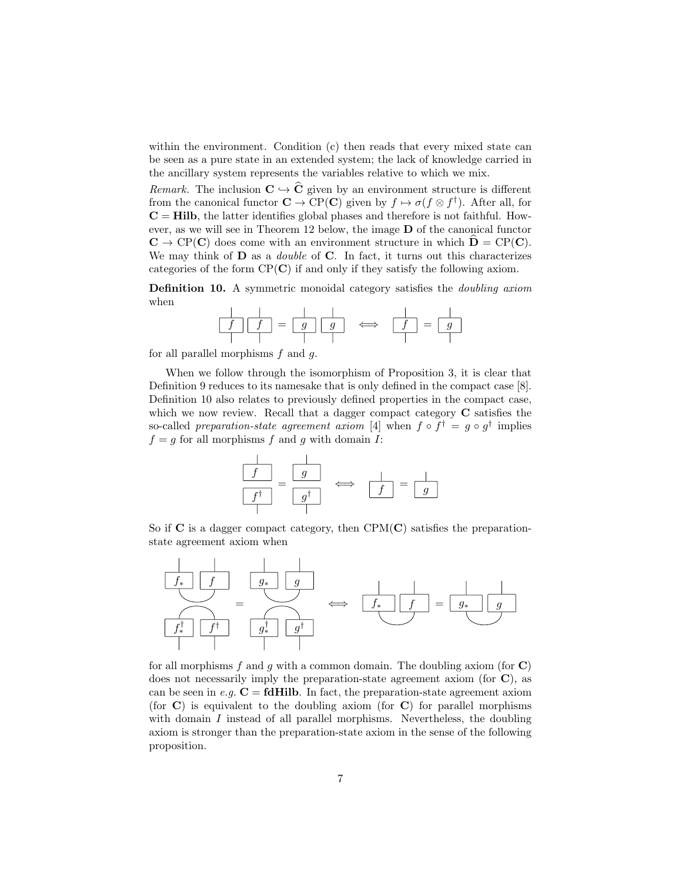within the environment. Condition (c) then reads that every mixed state can be seen as a pure state in an extended system; the lack of knowledge carried in the ancillary system represents the variables relative to which we mix.

Remark. The inclusion  $C \hookrightarrow \widehat{C}$  given by an environment structure is different from the canonical functor  $\mathbf{C} \to \mathrm{CP}(\mathbf{C})$  given by  $f \mapsto \sigma(f \otimes f^{\dagger})$ . After all, for  $C = Hilb$ , the latter identifies global phases and therefore is not faithful. However, as we will see in Theorem 12 below, the image D of the canonical functor  $\mathbf{C} \to \mathrm{CP}(\mathbf{C})$  does come with an environment structure in which  $\mathbf{D} = \mathrm{CP}(\mathbf{C})$ . We may think of  **as a** *double* **of**  $**C**$ **. In fact, it turns out this characterizes** categories of the form  $\text{CP}(\mathbf{C})$  if and only if they satisfy the following axiom.

Definition 10. A symmetric monoidal category satisfies the doubling axiom when

f f = g g ⇐⇒ f = g

for all parallel morphisms  $f$  and  $g$ .

When we follow through the isomorphism of Proposition 3, it is clear that Definition 9 reduces to its namesake that is only defined in the compact case [8]. Definition 10 also relates to previously defined properties in the compact case, which we now review. Recall that a dagger compact category **C** satisfies the so-called preparation-state agreement axiom [4] when  $f \circ f^{\dagger} = g \circ g^{\dagger}$  implies  $f = g$  for all morphisms f and g with domain I:



So if  $C$  is a dagger compact category, then CPM $(C)$  satisfies the preparationstate agreement axiom when



for all morphisms f and g with a common domain. The doubling axiom (for  $\mathbf C$ ) does not necessarily imply the preparation-state agreement axiom (for C), as can be seen in e.g.  $C = f dHilb$ . In fact, the preparation-state agreement axiom (for  $\bf{C}$ ) is equivalent to the doubling axiom (for  $\bf{C}$ ) for parallel morphisms with domain  $I$  instead of all parallel morphisms. Nevertheless, the doubling axiom is stronger than the preparation-state axiom in the sense of the following proposition.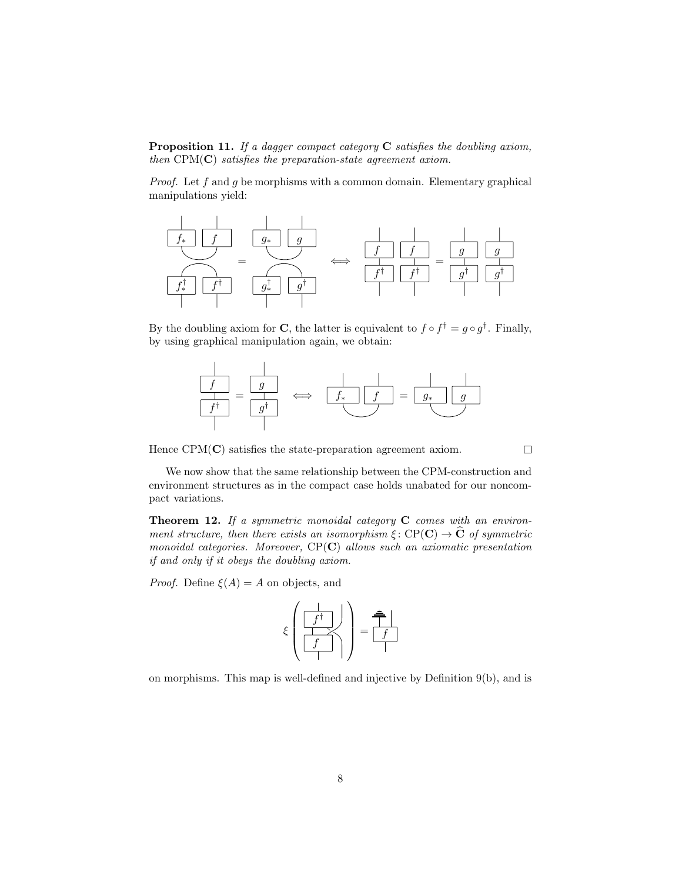**Proposition 11.** If a dagger compact category  $C$  satisfies the doubling axiom, then  $CPM(C)$  satisfies the preparation-state agreement axiom.

*Proof.* Let  $f$  and  $g$  be morphisms with a common domain. Elementary graphical manipulations yield:



By the doubling axiom for C, the latter is equivalent to  $f \circ f^{\dagger} = g \circ g^{\dagger}$ . Finally, by using graphical manipulation again, we obtain:



Hence  $CPM(C)$  satisfies the state-preparation agreement axiom.

 $\Box$ 

We now show that the same relationship between the CPM-construction and environment structures as in the compact case holds unabated for our noncompact variations.

**Theorem 12.** If a symmetric monoidal category  $C$  comes with an environment structure, then there exists an isomorphism  $\xi : \text{CP}(\mathbf{C}) \to \widehat{\mathbf{C}}$  of symmetric monoidal categories. Moreover,  $CP(C)$  allows such an axiomatic presentation if and only if it obeys the doubling axiom.

*Proof.* Define  $\xi(A) = A$  on objects, and

$$
\xi\left(\begin{array}{c|c} \hline \hline f^\dagger \\ \hline \hline f \\ \hline \end{array}\right)=\begin{array}{c} \hline \hline \hline \hline \hline f \\ \hline \hline \end{array}
$$

on morphisms. This map is well-defined and injective by Definition 9(b), and is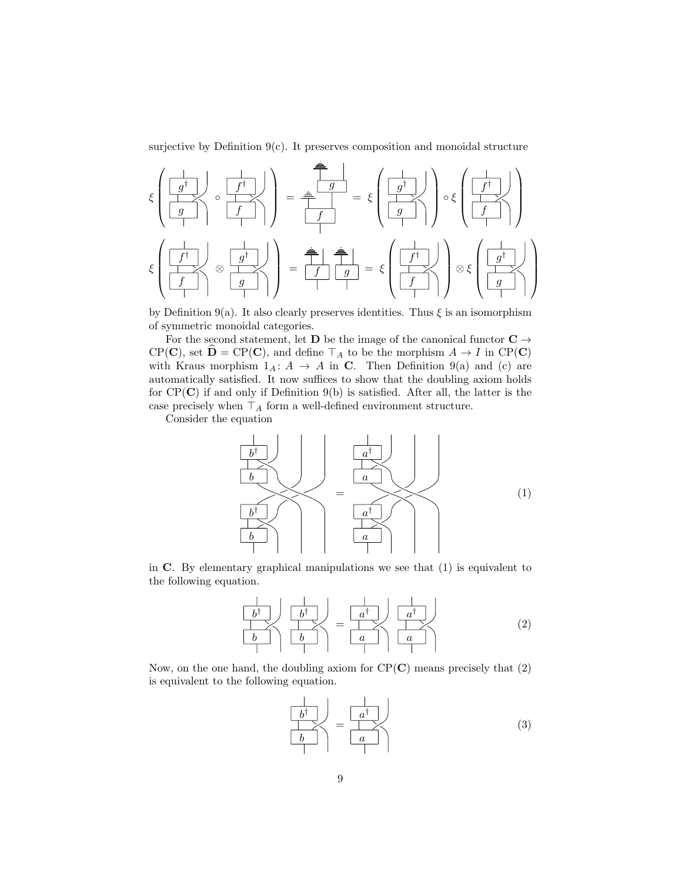surjective by Definition  $9(c)$ . It preserves composition and monoidal structure

$$
\xi \left( \frac{\frac{1}{g^{\dagger}}}{\frac{1}{g^{\dagger}}}\right) \circ \frac{\frac{1}{f^{\dagger}}}{\frac{1}{f^{\dagger}}}\right) = \frac{\frac{1}{g}}{\frac{1}{f}} = \xi \left( \frac{\frac{1}{g^{\dagger}}}{\frac{1}{g^{\dagger}}}\right) \circ \xi \left( \frac{\frac{1}{f^{\dagger}}}{\frac{1}{f^{\dagger}}}\right)
$$
\n
$$
\xi \left( \frac{\frac{1}{f^{\dagger}}}{f}\right) \circ \frac{\frac{1}{g^{\dagger}}}{\frac{1}{g^{\dagger}}}\right) = \frac{\frac{1}{g}}{\frac{1}{f}} \frac{\frac{1}{g}}{\frac{1}{f}} = \xi \left( \frac{\frac{1}{f^{\dagger}}}{\frac{f^{\dagger}}{f}}\right) \circ \xi \left( \frac{\frac{1}{g^{\dagger}}}{\frac{g^{\dagger}}{g^{\dagger}}}\right)
$$

by Definition 9(a). It also clearly preserves identities. Thus  $\xi$  is an isomorphism of symmetric monoidal categories.

For the second statement, let **D** be the image of the canonical functor  $C \rightarrow$  $CP(\mathbf{C})$ , set  $\mathbf{D} = CP(\mathbf{C})$ , and define  $\top_A$  to be the morphism  $A \to I$  in  $CP(\mathbf{C})$ with Kraus morphism  $1_A: A \rightarrow A$  in C. Then Definition 9(a) and (c) are automatically satisfied. It now suffices to show that the doubling axiom holds for  $CP(C)$  if and only if Definition 9(b) is satisfied. After all, the latter is the case precisely when  $\top_A$  form a well-defined environment structure.

Consider the equation



in C. By elementary graphical manipulations we see that (1) is equivalent to the following equation.

$$
\begin{array}{|c|c|c|c|c|}\n\hline\nb^{\dagger} & b^{\dagger} & b^{\dagger} \\
\hline\nb & b & a^{\dagger} & a^{\dagger} \\
\hline\n\end{array}
$$
 (2)

Now, on the one hand, the doubling axiom for  $\text{CP}(\mathbf{C})$  means precisely that (2) is equivalent to the following equation.

$$
\begin{array}{c|c}\n\downarrow & \downarrow \\
\hline\nb^{\dagger} & \downarrow \\
b & \downarrow\n\end{array} = \begin{array}{c|c}\n\downarrow & \downarrow \\
\hline\na^{\dagger} & \downarrow \\
a & \downarrow\n\end{array}
$$
\n(3)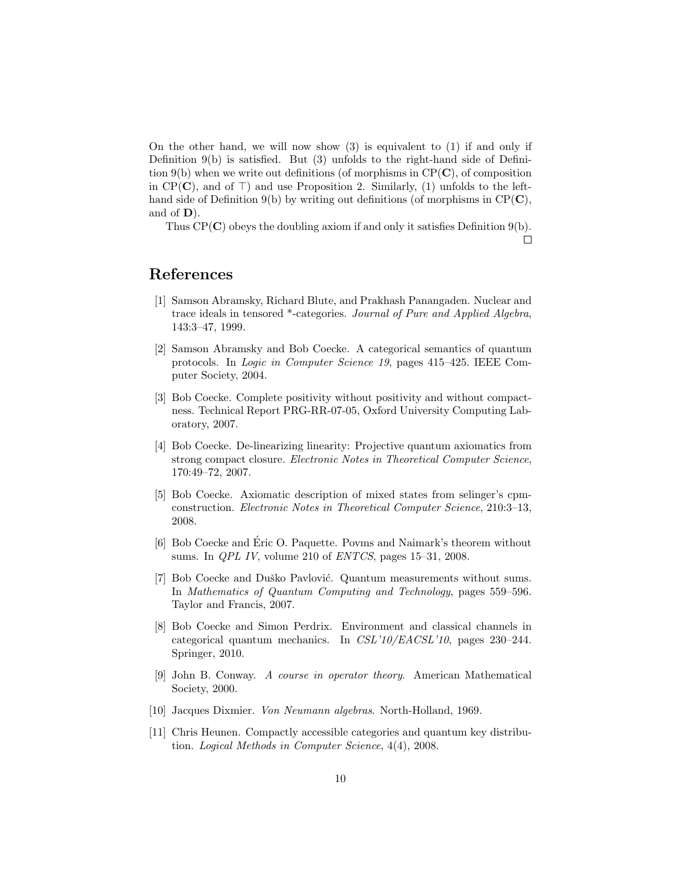On the other hand, we will now show (3) is equivalent to (1) if and only if Definition 9(b) is satisfied. But (3) unfolds to the right-hand side of Definition 9(b) when we write out definitions (of morphisms in  $\text{CP}(\mathbf{C})$ , of composition in CP( $\mathbf{C}$ ), and of  $\top$ ) and use Proposition 2. Similarly, (1) unfolds to the lefthand side of Definition 9(b) by writing out definitions (of morphisms in  $\text{CP}(\mathbf{C})$ , and of D).

Thus  $CP(C)$  obeys the doubling axiom if and only it satisfies Definition 9(b).

 $\Box$ 

## References

- [1] Samson Abramsky, Richard Blute, and Prakhash Panangaden. Nuclear and trace ideals in tensored \*-categories. Journal of Pure and Applied Algebra, 143:3–47, 1999.
- [2] Samson Abramsky and Bob Coecke. A categorical semantics of quantum protocols. In Logic in Computer Science 19, pages 415–425. IEEE Computer Society, 2004.
- [3] Bob Coecke. Complete positivity without positivity and without compactness. Technical Report PRG-RR-07-05, Oxford University Computing Laboratory, 2007.
- [4] Bob Coecke. De-linearizing linearity: Projective quantum axiomatics from strong compact closure. Electronic Notes in Theoretical Computer Science, 170:49–72, 2007.
- [5] Bob Coecke. Axiomatic description of mixed states from selinger's cpmconstruction. Electronic Notes in Theoretical Computer Science, 210:3–13, 2008.
- [6] Bob Coecke and Eric O. Paquette. Povms and Naimark's theorem without ´ sums. In QPL IV, volume 210 of ENTCS, pages 15–31, 2008.
- [7] Bob Coecke and Duško Pavlović. Quantum measurements without sums. In Mathematics of Quantum Computing and Technology, pages 559–596. Taylor and Francis, 2007.
- [8] Bob Coecke and Simon Perdrix. Environment and classical channels in categorical quantum mechanics. In CSL'10/EACSL'10, pages 230–244. Springer, 2010.
- [9] John B. Conway. A course in operator theory. American Mathematical Society, 2000.
- [10] Jacques Dixmier. Von Neumann algebras. North-Holland, 1969.
- [11] Chris Heunen. Compactly accessible categories and quantum key distribution. Logical Methods in Computer Science, 4(4), 2008.